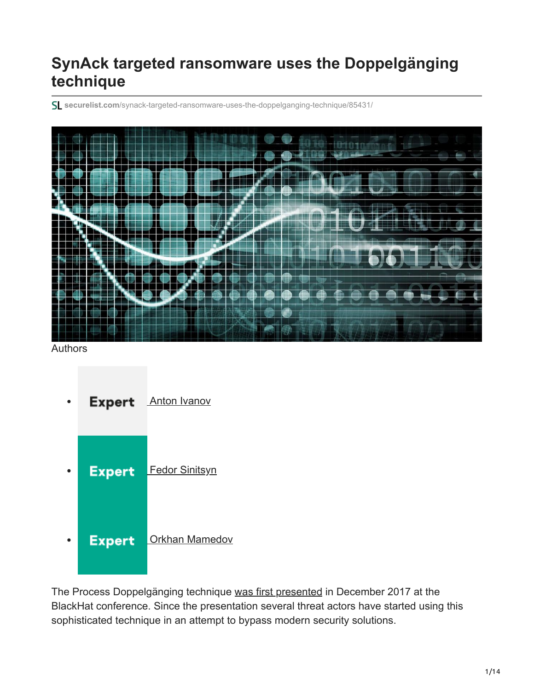# **SynAck targeted ransomware uses the Doppelgänging technique**

**securelist.com**[/synack-targeted-ransomware-uses-the-doppelganging-technique/85431/](https://securelist.com/synack-targeted-ransomware-uses-the-doppelganging-technique/85431/)



Authors

**Expert** [Anton Ivanov](https://securelist.com/author/anton/) **Expert** [Fedor Sinitsyn](https://securelist.com/author/fedors/) **[Orkhan Mamedov](https://securelist.com/author/orkhanmamedov/) Expert**  $\bullet$ 

The Process Doppelgänging technique [was first presented](https://www.blackhat.com/docs/eu-17/materials/eu-17-Liberman-Lost-In-Transaction-Process-Doppelganging.pdf) in December 2017 at the BlackHat conference. Since the presentation several threat actors have started using this sophisticated technique in an attempt to bypass modern security solutions.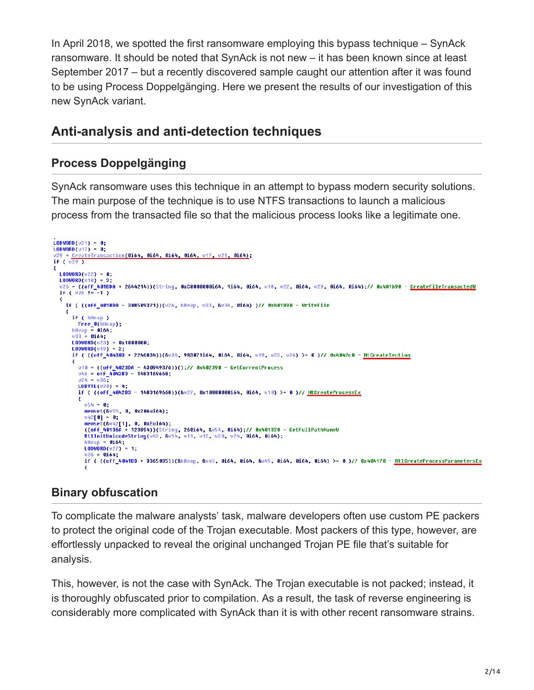In April 2018, we spotted the first ransomware employing this bypass technique – SynAck ransomware. It should be noted that SynAck is not new – it has been known since at least September 2017 – but a recently discovered sample caught our attention after it was found to be using Process Doppelgänging. Here we present the results of our investigation of this new SynAck variant.

## **Anti-analysis and anti-detection techniques**

### **Process Doppelgänging**

SynAck ransomware uses this technique in an attempt to bypass modern security solutions. The main purpose of the technique is to use NTFS transactions to launch a malicious process from the transacted file so that the malicious process looks like a legitimate one.

```
\begin{array}{lll} \text{(ODWORD (021)} & = & \textbf{0}; \\ \text{LODWORD (017)} & = & \textbf{0}; \end{array}\frac{LODWORD(017)}{100} = 0;<br>
v29 = \frac{CreeterTransaction(0164, 0164, 0164, 0164, v17, v21, 0164)}{16}<br>
if (v29)
₹
  LODWORD(022) = 0;LODWORD(v18) = 3;Lowwordvie) - 3,<br>u26 = ((off_401BDA + 2644214))(String, 0xC0000000i64, 1i64, 0i64, u18, u22, 0i64, u29, 0i64, 0i64);// 0x401b90 - <u>CreateFileTransactedW</u><br>if ( u26 *= -1 )
  ₹
    if ( ((off_4018DA - 308509321))(v26, hHeap, v33, &v34, 0i64) )// 0x401890 - WriteFile
     ₹
       if ( hHeap )
       Free_0(hHeap);<br>hHeap = 0i64;<br>033 = 0i64;
       LODWORD(423) = 0x1000000;LODWORD(v19) = 2;<br>if ( ((off 404303 + 2246834))(&v36, 983071i64, 0i64, 0i64, v19, v23, v26) >= 0 )// 0x4042c0 - NtCreateSection
          v10 = ((off 4023DA - 430949376))();// 0x402390 - GetCurrentProcess
          v46 = 0ff 4042B3 - 1483169668;<br>v24 = v36;
          LOBYTE(020) = 4;
          if ((Off_4042B3 - 1483169668))(&u27, 0x10000000i64, 0i64, u10) >= 0 )// <u>NtCreateProcessEx</u>
          ₹
             054 = 0;0.54 = 0;<br>
memset(&0.55, 0, 0x206ui64);<br>
0.42[0] = 0;<br>
memset(&
             memset(&v42[1], 0, 0xEui64);
             ((off_40136A + 123894))(String, 260i64, &u54, 0i64);// 0x401320 - GetFullPathNameW
             RtlInitUnicodeString(v42, &v54, v11, v12, v20, v24, 0164, 0164);
             hHeap = 0i64;LODWORD( v27) = 1;u26 = 0164:
             if ( ((off 4041B3 + 3365035))(&hHeap, &v45, 0i64, 0i64, &v45, 0i64, 0i64, 0i64) >= 0 )// 0x404170 - RtlCreateProcessParametersEx
```
## **Binary obfuscation**

To complicate the malware analysts' task, malware developers often use custom PE packers to protect the original code of the Trojan executable. Most packers of this type, however, are effortlessly unpacked to reveal the original unchanged Trojan PE file that's suitable for analysis.

This, however, is not the case with SynAck. The Trojan executable is not packed; instead, it is thoroughly obfuscated prior to compilation. As a result, the task of reverse engineering is considerably more complicated with SynAck than it is with other recent ransomware strains.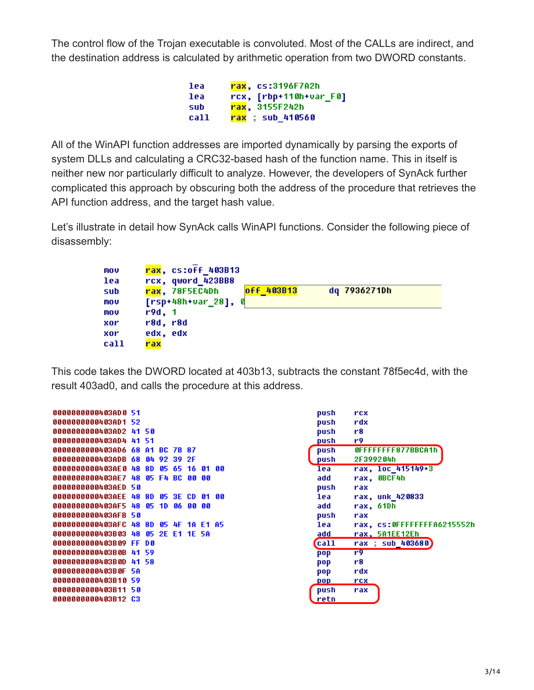The control flow of the Trojan executable is convoluted. Most of the CALLs are indirect, and the destination address is calculated by arithmetic operation from two DWORD constants.

> 1ea rax, cs:3196F7A2h rcx, [rbp+110h+var\_F0] lea sub rax, 3155F242h call rax : sub 410560

All of the WinAPI function addresses are imported dynamically by parsing the exports of system DLLs and calculating a CRC32-based hash of the function name. This in itself is neither new nor particularly difficult to analyze. However, the developers of SynAck further complicated this approach by obscuring both the address of the procedure that retrieves the API function address, and the target hash value.

Let's illustrate in detail how SynAck calls WinAPI functions. Consider the following piece of disassembly:



This code takes the DWORD located at 403b13, subtracts the constant 78f5ec4d, with the result 403ad0, and calls the procedure at this address.

```
0000000000403AD0 51
0000000000403AD1 52
0000000000403AD2 41 50
00000000000403AD4 41 51
00000000000403AD6 68 A1 BC 7B 87
00000000000403ADB 68 04 92 39 2F
00000000000403AE0 48 8D 05 65 16 01 00
00000000000403AE7 48 05 F4 BC 00 00
0000000000403AED 50
00000000000403AEE 48 8D 05 3E CD 01 00
00000000000403AF5 48 05 1D 06 00 00
0000000000403AFB 50
00000000000403AFC 48 8D 05 4F 1A E1 A5
00000000000403B03 48 05 2E E1 1E 5A
0000000000403B09 FF D0
00000000000403B0B 41 59
00000000000403B0D 41 58
0000000000403B0F 5A
0000000000403B10 59
0000000000403B11 50
0000000000403B12 C3
```

| push  | rcx                        |
|-------|----------------------------|
| push  | rdx                        |
| push  | r8                         |
| push  | r9                         |
| push  | OFFFFFFFF877BBCA1h         |
| push  | 2F399204h                  |
| lea   | rax, loc 415149+3          |
| add   | rax, OBCF4h                |
| push  | rax                        |
| lea   | rax, unk 420833            |
| add   | rax, 61Dh                  |
| push  | rax                        |
| lea   | rax. cs:OFFFFFFFFA6215552h |
| add   | rax. 5A1EE12Eh             |
| (call | rax : sub 403680)          |
| pop   | r9                         |
| pop   | r8.                        |
| pop   | rdx                        |
| pop   | rcx                        |
| push  | rax                        |
| retn  |                            |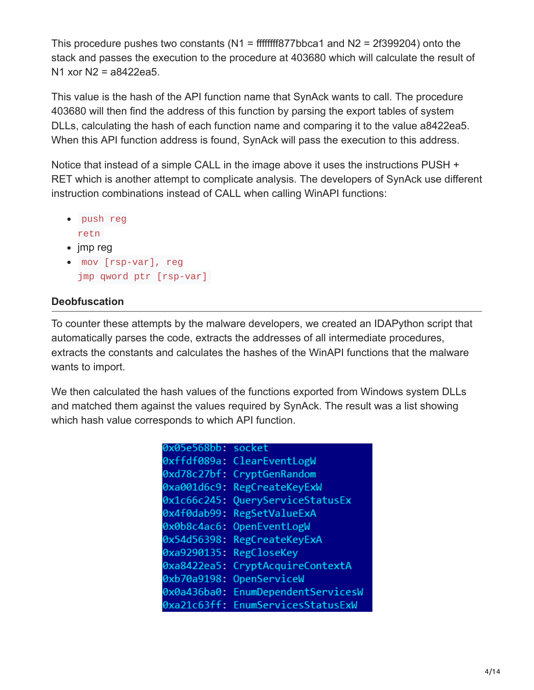This procedure pushes two constants ( $N1$  = ffffffff877bbca1 and  $N2$  = 2f399204) onto the stack and passes the execution to the procedure at 403680 which will calculate the result of N1 xor N2 = a8422ea5.

This value is the hash of the API function name that SynAck wants to call. The procedure 403680 will then find the address of this function by parsing the export tables of system DLLs, calculating the hash of each function name and comparing it to the value a8422ea5. When this API function address is found, SynAck will pass the execution to this address.

Notice that instead of a simple CALL in the image above it uses the instructions PUSH + RET which is another attempt to complicate analysis. The developers of SynAck use different instruction combinations instead of CALL when calling WinAPI functions:

- push reg retn
- $\bullet$  jmp reg
- mov [rsp-var], reg jmp qword ptr [rsp-var]

### **Deobfuscation**

To counter these attempts by the malware developers, we created an IDAPython script that automatically parses the code, extracts the addresses of all intermediate procedures, extracts the constants and calculates the hashes of the WinAPI functions that the malware wants to import.

We then calculated the hash values of the functions exported from Windows system DLLs and matched them against the values required by SynAck. The result was a list showing which hash value corresponds to which API function.

| 0x05e568bb:    | socket                 |
|----------------|------------------------|
| 0xffdf089a:    | ClearEventLogW         |
| 0xd78c27bf:    | CryptGenRandom         |
| 0xa001d6c9:    | RegCreateKeyExW        |
| 0x1c66c245:    | QueryServiceStatusEx   |
| 0x4f0dab99:    | RegSetValueExA         |
| 0x0b8c4ac6:    | OpenEventLogW          |
| 0x54d56398:    | RegCreateKeyExA        |
| 0xa9290135:    | RegCloseKey            |
| 0xa8422ea5:    | CryptAcquireContextA   |
| 0xb70a9198:    | OpenServiceW           |
| 0x0a436ba0:    | EnumDependentServicesW |
| $0xa21c63ff$ : | EnumServicesStatusExW  |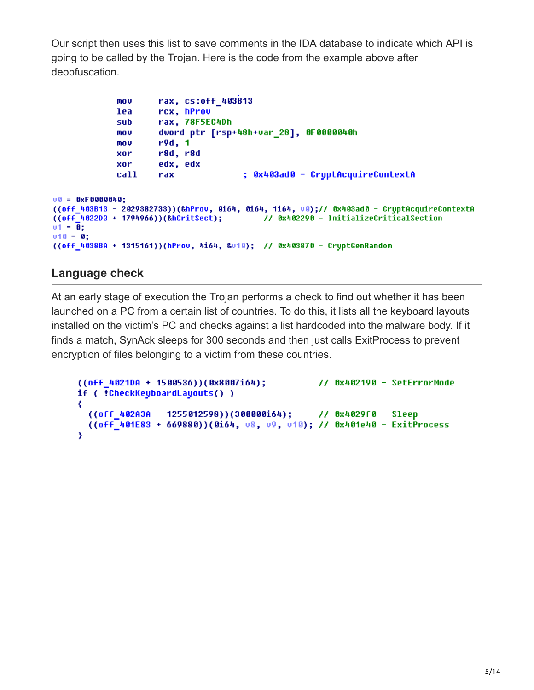Our script then uses this list to save comments in the IDA database to indicate which API is going to be called by the Trojan. Here is the code from the example above after deobfuscation.

```
mov
                     rax, cs:off 403B13
             lea
                     rcx, hProv
                     rax, 78F5EC4Dh
             sub
                     dword ptr [rsp+48h+var_28], 0F0000040h
             mov
                     r9d, 1mov
                     r8d, r8d
             xor
                     edx, edx
             xor
                                       : 0x403ad0 - CruptAcquireContextA
                     rax
             call
00 = 0xF0000040;
((off 403B13 - 2029382733))(&hProv, 0i64, 0i64, 1i64, v0);// 0x403ad0 - CryptAcquireContextA
((off 4022D3 + 1794966))(&hCritSect);
                                       // 0x402290 - InitializeCriticalSection
v1 = 0;v10 = 0;
((off 4038BA + 1315161))(hProv, 4i64, &v10); // 0x403870 - CryptGenRandom
```
#### **Language check**

At an early stage of execution the Trojan performs a check to find out whether it has been launched on a PC from a certain list of countries. To do this, it lists all the keyboard layouts installed on the victim's PC and checks against a list hardcoded into the malware body. If it finds a match, SynAck sleeps for 300 seconds and then just calls ExitProcess to prevent encryption of files belonging to a victim from these countries.

```
((off_4021DA + 1500536))(0x8007i64);
                                     // 0x402190 - SetErrorMode
if ( !CheckKeyboardLayouts() )
₹
  ((off 402A3A - 1255012598))(300000164); // 0x4029f0 - Sleep
 ((off 401E83 + 669880))(0i64, u8, u9, u10); // 0x401e40 - ExitProcess
Y
```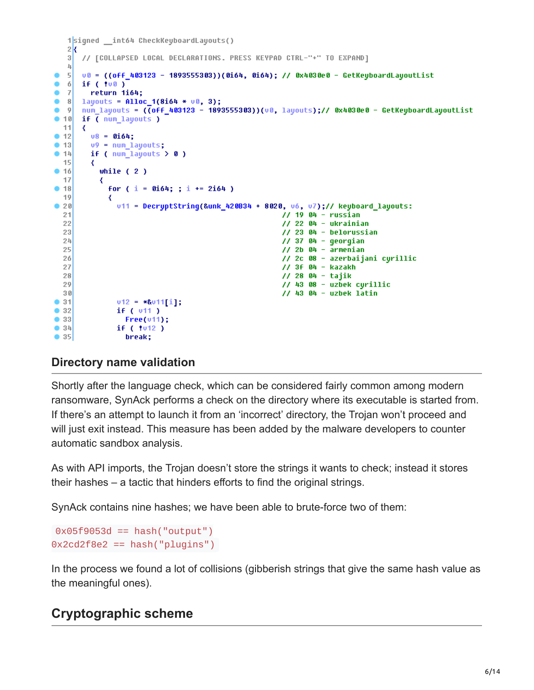```
1signed int64 CheckKeyboardLayouts()
   2k// [COLLAPSED LOCAL DECLARATIONS. PRESS KEYPAD CTRL-"+" TO EXPAND]
   3
   4
  5
      u0 = ((off 403123 - 1893555303))(0i64, 0i64); // 0x4030e0 - GetKeyboardLayoutList
\bullet-6
      if (100)٠
  \overline{7}return 1i64;
      layouts = Alloc_1(8i64 * v8, 3);٠
  8num_layouts = ((off_403123 - 1893555303))(v0, layouts);// 0x4030e0 - GetKeyboardLayoutList
  -9\bullet 10
      if ( num_layouts )
  11₹
\blacksquare 12
        v8 = 0i64;
        v9 = num\_layers;• 13-14if ( num\_layers > 0 )
  15
         ₹
          while (2)9.1617
          ₹
             for ( i = 0i64; ; i \div 2i64 )
 18
  19
             ₹
              v11 = \text{DecryptString(Runk_420B34 + 8020, } v6, v7); // keyboard\_layouts:20211/19 04 - russian
                                                       1/22 04 - ukrainian
  22
                                                       1/23 04 - belorussian
  23
  241/37 04 - qeorqian
  25
                                                       1/2b 04 - armenian
  26
                                                       // 2c 08 - azerbaijani cyrillic
  27
                                                      11.3f 04 - kazakh28
                                                      1/28 04 - tailk29
                                                      1/43 08 - uzbek cyrillic
  30// 43 04 - uzbek latin
• 31v12 = *av11[i];• 32if (v11)\bullet 33
                Free(v11);|34|if ( !v12 )
\bullet 35
                 break;
```
#### **Directory name validation**

Shortly after the language check, which can be considered fairly common among modern ransomware, SynAck performs a check on the directory where its executable is started from. If there's an attempt to launch it from an 'incorrect' directory, the Trojan won't proceed and will just exit instead. This measure has been added by the malware developers to counter automatic sandbox analysis.

As with API imports, the Trojan doesn't store the strings it wants to check; instead it stores their hashes – a tactic that hinders efforts to find the original strings.

SynAck contains nine hashes; we have been able to brute-force two of them:

```
0x05f9053d == hash("output")
0x2cd2f8e2 == hash('pluqins')
```
In the process we found a lot of collisions (gibberish strings that give the same hash value as the meaningful ones).

## **Cryptographic scheme**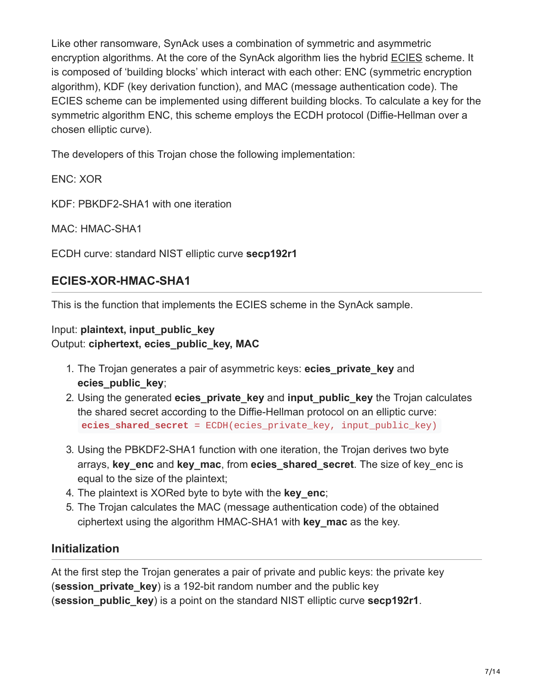Like other ransomware, SynAck uses a combination of symmetric and asymmetric encryption algorithms. At the core of the SynAck algorithm lies the hybrid [ECIES](https://en.wikipedia.org/wiki/Integrated_Encryption_Scheme) scheme. It is composed of 'building blocks' which interact with each other: ENC (symmetric encryption algorithm), KDF (key derivation function), and MAC (message authentication code). The ECIES scheme can be implemented using different building blocks. To calculate a key for the symmetric algorithm ENC, this scheme employs the ECDH protocol (Diffie-Hellman over a chosen elliptic curve).

The developers of this Trojan chose the following implementation:

ENC: XOR

KDF: PBKDF2-SHA1 with one iteration

MAC: HMAC-SHA1

ECDH curve: standard NIST elliptic curve **secp192r1**

#### **ECIES-XOR-HMAC-SHA1**

This is the function that implements the ECIES scheme in the SynAck sample.

#### Input: **plaintext, input\_public\_key** Output: **ciphertext, ecies\_public\_key, MAC**

- 1. The Trojan generates a pair of asymmetric keys: **ecies\_private\_key** and **ecies\_public\_key**;
- 2. Using the generated **ecies\_private\_key** and **input\_public\_key** the Trojan calculates the shared secret according to the Diffie-Hellman protocol on an elliptic curve: **ecies\_shared\_secret** = ECDH(ecies\_private\_key, input\_public\_key)
- 3. Using the PBKDF2-SHA1 function with one iteration, the Trojan derives two byte arrays, **key\_enc** and **key\_mac**, from **ecies\_shared\_secret**. The size of key\_enc is equal to the size of the plaintext;
- 4. The plaintext is XORed byte to byte with the **key\_enc**;
- 5. The Trojan calculates the MAC (message authentication code) of the obtained ciphertext using the algorithm HMAC-SHA1 with **key\_mac** as the key.

#### **Initialization**

At the first step the Trojan generates a pair of private and public keys: the private key (**session\_private\_key**) is a 192-bit random number and the public key (**session\_public\_key**) is a point on the standard NIST elliptic curve **secp192r1**.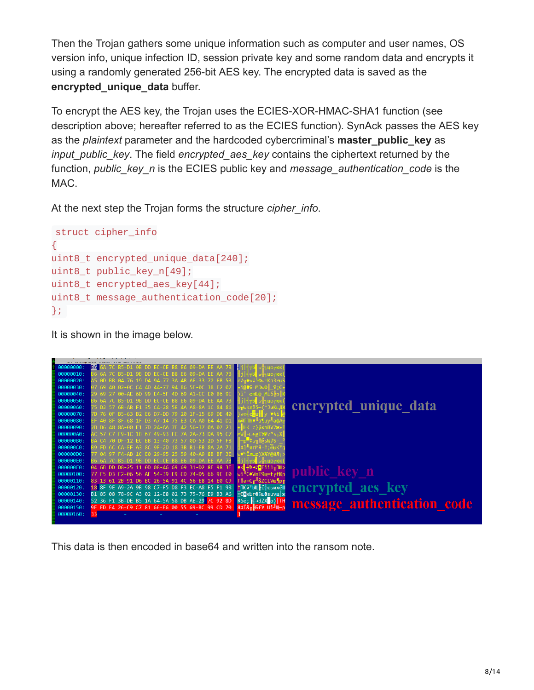Then the Trojan gathers some unique information such as computer and user names, OS version info, unique infection ID, session private key and some random data and encrypts it using a randomly generated 256-bit AES key. The encrypted data is saved as the **encrypted\_unique\_data** buffer.

To encrypt the AES key, the Trojan uses the ECIES-XOR-HMAC-SHA1 function (see description above; hereafter referred to as the ECIES function). SynAck passes the AES key as the *plaintext* parameter and the hardcoded cybercriminal's **master\_public\_key** as *input public key*. The field *encrypted* aes *key* contains the ciphertext returned by the function, *public\_key\_n* is the ECIES public key and *message\_authentication\_code* is the MAC.

At the next step the Trojan forms the structure *cipher\_info*.

```
struct cipher_info
{
uint8_t encrypted_unique_data[240];
uint8_t public_key_n[49];
uint8_t encrypted_aes_key[44];
uint8_t message_authentication_code[20];
};
```
It is shown in the image below.



This data is then encoded in base64 and written into the ransom note.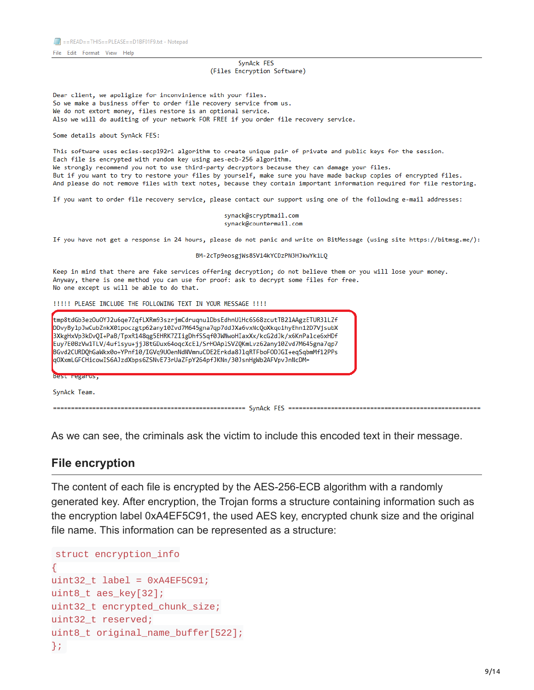File Edit Format View Help

#### SynAck FES (Files Encryption Software)

Dear client, we apoligize for inconvinience with your files. So we make a business offer to order file recovery service from us. We do not extort money, files restore is an optional service. Also we will do auditing of your network FOR FREE if you order file recovery service.

#### Some details about SynAck FES:

This software uses ecies-secp192r1 algorithm to create unique pair of private and public keys for the session. Each file is encrypted with random key using aes-ecb-256 algorithm. We strongly recommend you not to use third-party decryptors because they can damage your files. But if you want to try to restore your files by yourself, make sure you have made backup copies of encrypted files. And please do not remove files with text notes, because they contain important information required for file restoring.

If you want to order file recovery service, please contact our support using one of the following e-mail addresses:

synack@scryptmail.com synack@countermail.com

If you have not get a response in 24 hours, please do not panic and write on BitMessage (using site https://bitmsg.me/):

BM-2cTp9eosgjWs8SV14kYCDzPN3HJkwYk1LQ

Keep in mind that there are fake services offering decryption; do not believe them or you will lose your money. Anyway, there is one method you can use for proof: ask to decrypt some files for free. No one except us will be able to do that.

!!!!! PLEASE INCLUDE THE FOLLOWING TEXT IN YOUR MESSAGE !!!!



As we can see, the criminals ask the victim to include this encoded text in their message.

#### **File encryption**

The content of each file is encrypted by the AES-256-ECB algorithm with a randomly generated key. After encryption, the Trojan forms a structure containing information such as the encryption label 0xA4EF5C91, the used AES key, encrypted chunk size and the original file name. This information can be represented as a structure:

```
struct encryption_info
{
uint32_t label = 0xA4EF5C91;
uint8_t aes_key[32];
uint32_t encrypted_chunk_size;
uint32_t reserved;
uint8_t original_name_buffer[522];
};
```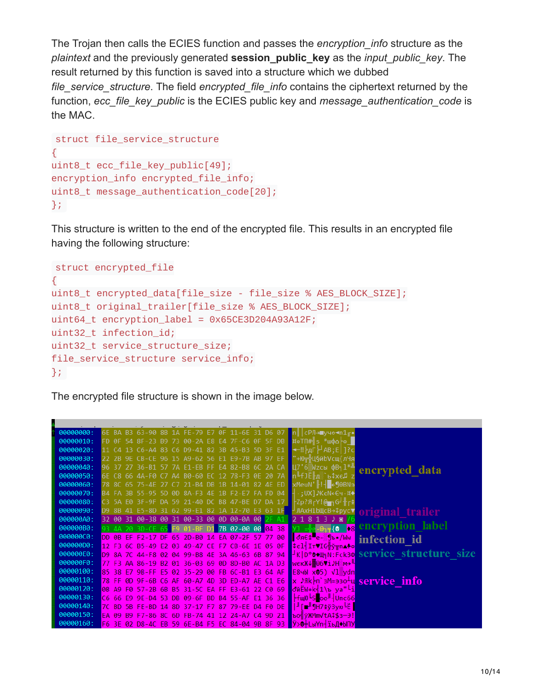The Trojan then calls the ECIES function and passes the *encryption\_info* structure as the *plaintext* and the previously generated **session\_public\_key** as the *input\_public\_key*. The result returned by this function is saved into a structure which we dubbed *file\_service\_structure*. The field *encrypted\_file\_info* contains the ciphertext returned by the function, *ecc\_file\_key\_public* is the ECIES public key and *message\_authentication\_code* is the MAC.

```
struct file_service_structure
{
uint8_t ecc_file_key_public[49];
encryption_info encrypted_file_info;
uint8_t message_authentication_code[20];
};
```
This structure is written to the end of the encrypted file. This results in an encrypted file having the following structure:

```
struct encrypted_file
{
uint8_t encrypted_data[file_size - file_size % AES_BLOCK_SIZE];
uint8_t original_trailer[file_size % AES_BLOCK_SIZE];
uint64_t encryption_label = 0x65CE3D204A93A12F;uint32_t infection_id;
uint32_t service_structure_size;
file_service_structure service_info;
};
```
The encrypted file structure is shown in the image below.

| 6E BA B3 63-90 8B 1A FE-79 E7 0F 11-6E 31 D6 07<br>00000000:<br>п∥∣сРЛ <del>∍∎</del> ∨ч≎ <del>≺</del> n1 г•<br>FD 0F 54 8F-23 B9 73 00-2A E8 E4 7F-C6 0F 5F DB  ¤αTΠ# s *wφα -α  <br>00000010:<br>11 C4 13 C6-A4 83 C6 D9-41 82 3B 45-B3 5D 3F E1<br>00000020:<br>$\leftarrow$ !! $\models$ дГ $\leftarrow$ AB : E   1 ? с<br>22 2B 9E CB-CE 96 15 A9-62 56 E1 E9-7B AB 97 EF<br>00000030:<br>"+Ют∺ШбйЬ∨сш{лЧя<br>96 37 27 36-B1 57 7A E1-EB FF E4 82-B8 6C 2A CA<br>Ц7'6 Ми Сы ФВ- $1^{*1}$<br>00000040:<br>encrypted data<br>6E C8 66 4A-F0 C7 A4 B0-60 EC 12 78-F3 0E 20 7A<br>nLfJË <sub>A</sub> b\$xe∄ z<br>00000050:<br>00000060:<br>B4 FA 3B 55-95 5D 0D 8A-F3 4E 1B F2-E7 FA FD 04<br>00000070:<br>⊣.:UXl♪KeN←∈ч⋅¤◆<br>C3 5A E0 3F-9F DA 59 21-40 DC B8 47-BE D7 DA 17 $\frac{1}{2}$ $\frac{1}{2}$ $\frac{1}{2}$ $\frac{1}{2}$ $\frac{1}{2}$ $\frac{1}{2}$ $\frac{1}{2}$ $\frac{1}{2}$ $\frac{1}{2}$ $\frac{1}{2}$ $\frac{1}{2}$ $\frac{1}{2}$ $\frac{1}{2}$ $\frac{1}{2}$ $\frac{1}{2}$ $\frac{1}{2}$ $\frac{1}{2}$ $\frac$<br>00000080:<br>00000090:<br>D9 8B 41 E5-8D 31 62 99-E1 82 1A 12-70 E3 63 1F<br><sup>→</sup> ЛАхН1ЬЩсВ→‡рус▼<br>original trailer<br>32 00 31 00-38 00 31 00-33 00 0D 00-0A 00 2F A1<br>000000A0:<br>$21813$ $\sqrt{8}$<br>encryption label<br>000000B0:<br>93 4A 20 3D-CE 65 F9 01-BF D1 <b>7B 02-00 00 <mark>04 38</mark></b><br>╶╬ <b>⋴</b> ╶©┐╤{ <b>◎</b> ◆8<br>00000000:<br>DD 0B EF F2-17 DF 65 2D-B0 14 EA 07-2F 57 77 00 05 3RE1 e- Db /Ww infection id<br>000000D0:<br>12 F3 6C B5-49 E2 03 49-47 CE F7 CB-6E 1E 05 0F CeliITVIG#y <sub>T</sub> nA+o<br>D9 8A 7C 44-F8 02 04 99-B8 4E 3A 46-63 6B 87 94   K D <sup>o</sup> @+HhN:Fck30 Service structure size<br>000000E0:<br>000000F0:<br>77 F3 AA 86-19 B2 01 36-03 69 0D 8D-B0 AC 1A D3 WeκЖ↓ <mark>.⊙6Vi)H▒m→<sup>ll</sup></mark><br>00000100:<br>85 38 E7 9B-FF E5 02 35-29 00 FB 6C-B1 E3 64 AF E84bl x05) Vl sydn<br>00000110:<br>78 FF 0D 9F-6B C6 AF 60-A7 4D 3D ED-A7 AE C1 E6 X ♪Яk-n`зM=эзо-u Service inio<br>00000120:<br>0B A9 F0 57-2B 6B B5 31-5C EA FF E3-61 22 C0 69 dWEW+k-1\b ya" <sup>L</sup> i<br>00000130:<br>C6 66 E9 9E-D4 53 DB 09-6F BD B4 55-AF E1 36 36 F Full Sold<br>00000140:<br>7C BD 5B FE-BD 14 8D 37-17 F7 87 79-EE D4 F0 DE ▌ <mark> ╜[■╜</mark> ¶H7\$ў3γю╘Ë<br>00000150:<br>FB-74 41 12 24-A7<br>F7-86 8C 6D<br>CA<br>9D 21<br><b>BodvkMmVtA‡\$з-Э!</b><br>FA 09<br><b>B</b> 9 |           |                                                                   |  |
|-------------------------------------------------------------------------------------------------------------------------------------------------------------------------------------------------------------------------------------------------------------------------------------------------------------------------------------------------------------------------------------------------------------------------------------------------------------------------------------------------------------------------------------------------------------------------------------------------------------------------------------------------------------------------------------------------------------------------------------------------------------------------------------------------------------------------------------------------------------------------------------------------------------------------------------------------------------------------------------------------------------------------------------------------------------------------------------------------------------------------------------------------------------------------------------------------------------------------------------------------------------------------------------------------------------------------------------------------------------------------------------------------------------------------------------------------------------------------------------------------------------------------------------------------------------------------------------------------------------------------------------------------------------------------------------------------------------------------------------------------------------------------------------------------------------------------------------------------------------------------------------------------------------------------------------------------------------------------------------------------------------------------------------------------------------------------------------------------------------------------------------------------------------------------------------------------------------------------------------------------------------------------------------------------------------------------------------------------------------------------------------------------------------------|-----------|-------------------------------------------------------------------|--|
|                                                                                                                                                                                                                                                                                                                                                                                                                                                                                                                                                                                                                                                                                                                                                                                                                                                                                                                                                                                                                                                                                                                                                                                                                                                                                                                                                                                                                                                                                                                                                                                                                                                                                                                                                                                                                                                                                                                                                                                                                                                                                                                                                                                                                                                                                                                                                                                                                   |           |                                                                   |  |
|                                                                                                                                                                                                                                                                                                                                                                                                                                                                                                                                                                                                                                                                                                                                                                                                                                                                                                                                                                                                                                                                                                                                                                                                                                                                                                                                                                                                                                                                                                                                                                                                                                                                                                                                                                                                                                                                                                                                                                                                                                                                                                                                                                                                                                                                                                                                                                                                                   |           |                                                                   |  |
|                                                                                                                                                                                                                                                                                                                                                                                                                                                                                                                                                                                                                                                                                                                                                                                                                                                                                                                                                                                                                                                                                                                                                                                                                                                                                                                                                                                                                                                                                                                                                                                                                                                                                                                                                                                                                                                                                                                                                                                                                                                                                                                                                                                                                                                                                                                                                                                                                   |           |                                                                   |  |
|                                                                                                                                                                                                                                                                                                                                                                                                                                                                                                                                                                                                                                                                                                                                                                                                                                                                                                                                                                                                                                                                                                                                                                                                                                                                                                                                                                                                                                                                                                                                                                                                                                                                                                                                                                                                                                                                                                                                                                                                                                                                                                                                                                                                                                                                                                                                                                                                                   |           |                                                                   |  |
|                                                                                                                                                                                                                                                                                                                                                                                                                                                                                                                                                                                                                                                                                                                                                                                                                                                                                                                                                                                                                                                                                                                                                                                                                                                                                                                                                                                                                                                                                                                                                                                                                                                                                                                                                                                                                                                                                                                                                                                                                                                                                                                                                                                                                                                                                                                                                                                                                   |           |                                                                   |  |
|                                                                                                                                                                                                                                                                                                                                                                                                                                                                                                                                                                                                                                                                                                                                                                                                                                                                                                                                                                                                                                                                                                                                                                                                                                                                                                                                                                                                                                                                                                                                                                                                                                                                                                                                                                                                                                                                                                                                                                                                                                                                                                                                                                                                                                                                                                                                                                                                                   |           |                                                                   |  |
|                                                                                                                                                                                                                                                                                                                                                                                                                                                                                                                                                                                                                                                                                                                                                                                                                                                                                                                                                                                                                                                                                                                                                                                                                                                                                                                                                                                                                                                                                                                                                                                                                                                                                                                                                                                                                                                                                                                                                                                                                                                                                                                                                                                                                                                                                                                                                                                                                   |           |                                                                   |  |
|                                                                                                                                                                                                                                                                                                                                                                                                                                                                                                                                                                                                                                                                                                                                                                                                                                                                                                                                                                                                                                                                                                                                                                                                                                                                                                                                                                                                                                                                                                                                                                                                                                                                                                                                                                                                                                                                                                                                                                                                                                                                                                                                                                                                                                                                                                                                                                                                                   |           |                                                                   |  |
|                                                                                                                                                                                                                                                                                                                                                                                                                                                                                                                                                                                                                                                                                                                                                                                                                                                                                                                                                                                                                                                                                                                                                                                                                                                                                                                                                                                                                                                                                                                                                                                                                                                                                                                                                                                                                                                                                                                                                                                                                                                                                                                                                                                                                                                                                                                                                                                                                   |           |                                                                   |  |
|                                                                                                                                                                                                                                                                                                                                                                                                                                                                                                                                                                                                                                                                                                                                                                                                                                                                                                                                                                                                                                                                                                                                                                                                                                                                                                                                                                                                                                                                                                                                                                                                                                                                                                                                                                                                                                                                                                                                                                                                                                                                                                                                                                                                                                                                                                                                                                                                                   |           |                                                                   |  |
|                                                                                                                                                                                                                                                                                                                                                                                                                                                                                                                                                                                                                                                                                                                                                                                                                                                                                                                                                                                                                                                                                                                                                                                                                                                                                                                                                                                                                                                                                                                                                                                                                                                                                                                                                                                                                                                                                                                                                                                                                                                                                                                                                                                                                                                                                                                                                                                                                   |           |                                                                   |  |
|                                                                                                                                                                                                                                                                                                                                                                                                                                                                                                                                                                                                                                                                                                                                                                                                                                                                                                                                                                                                                                                                                                                                                                                                                                                                                                                                                                                                                                                                                                                                                                                                                                                                                                                                                                                                                                                                                                                                                                                                                                                                                                                                                                                                                                                                                                                                                                                                                   |           |                                                                   |  |
|                                                                                                                                                                                                                                                                                                                                                                                                                                                                                                                                                                                                                                                                                                                                                                                                                                                                                                                                                                                                                                                                                                                                                                                                                                                                                                                                                                                                                                                                                                                                                                                                                                                                                                                                                                                                                                                                                                                                                                                                                                                                                                                                                                                                                                                                                                                                                                                                                   |           |                                                                   |  |
|                                                                                                                                                                                                                                                                                                                                                                                                                                                                                                                                                                                                                                                                                                                                                                                                                                                                                                                                                                                                                                                                                                                                                                                                                                                                                                                                                                                                                                                                                                                                                                                                                                                                                                                                                                                                                                                                                                                                                                                                                                                                                                                                                                                                                                                                                                                                                                                                                   |           |                                                                   |  |
|                                                                                                                                                                                                                                                                                                                                                                                                                                                                                                                                                                                                                                                                                                                                                                                                                                                                                                                                                                                                                                                                                                                                                                                                                                                                                                                                                                                                                                                                                                                                                                                                                                                                                                                                                                                                                                                                                                                                                                                                                                                                                                                                                                                                                                                                                                                                                                                                                   |           |                                                                   |  |
|                                                                                                                                                                                                                                                                                                                                                                                                                                                                                                                                                                                                                                                                                                                                                                                                                                                                                                                                                                                                                                                                                                                                                                                                                                                                                                                                                                                                                                                                                                                                                                                                                                                                                                                                                                                                                                                                                                                                                                                                                                                                                                                                                                                                                                                                                                                                                                                                                   |           |                                                                   |  |
|                                                                                                                                                                                                                                                                                                                                                                                                                                                                                                                                                                                                                                                                                                                                                                                                                                                                                                                                                                                                                                                                                                                                                                                                                                                                                                                                                                                                                                                                                                                                                                                                                                                                                                                                                                                                                                                                                                                                                                                                                                                                                                                                                                                                                                                                                                                                                                                                                   |           |                                                                   |  |
|                                                                                                                                                                                                                                                                                                                                                                                                                                                                                                                                                                                                                                                                                                                                                                                                                                                                                                                                                                                                                                                                                                                                                                                                                                                                                                                                                                                                                                                                                                                                                                                                                                                                                                                                                                                                                                                                                                                                                                                                                                                                                                                                                                                                                                                                                                                                                                                                                   |           |                                                                   |  |
|                                                                                                                                                                                                                                                                                                                                                                                                                                                                                                                                                                                                                                                                                                                                                                                                                                                                                                                                                                                                                                                                                                                                                                                                                                                                                                                                                                                                                                                                                                                                                                                                                                                                                                                                                                                                                                                                                                                                                                                                                                                                                                                                                                                                                                                                                                                                                                                                                   |           |                                                                   |  |
|                                                                                                                                                                                                                                                                                                                                                                                                                                                                                                                                                                                                                                                                                                                                                                                                                                                                                                                                                                                                                                                                                                                                                                                                                                                                                                                                                                                                                                                                                                                                                                                                                                                                                                                                                                                                                                                                                                                                                                                                                                                                                                                                                                                                                                                                                                                                                                                                                   |           |                                                                   |  |
|                                                                                                                                                                                                                                                                                                                                                                                                                                                                                                                                                                                                                                                                                                                                                                                                                                                                                                                                                                                                                                                                                                                                                                                                                                                                                                                                                                                                                                                                                                                                                                                                                                                                                                                                                                                                                                                                                                                                                                                                                                                                                                                                                                                                                                                                                                                                                                                                                   |           |                                                                   |  |
|                                                                                                                                                                                                                                                                                                                                                                                                                                                                                                                                                                                                                                                                                                                                                                                                                                                                                                                                                                                                                                                                                                                                                                                                                                                                                                                                                                                                                                                                                                                                                                                                                                                                                                                                                                                                                                                                                                                                                                                                                                                                                                                                                                                                                                                                                                                                                                                                                   |           |                                                                   |  |
|                                                                                                                                                                                                                                                                                                                                                                                                                                                                                                                                                                                                                                                                                                                                                                                                                                                                                                                                                                                                                                                                                                                                                                                                                                                                                                                                                                                                                                                                                                                                                                                                                                                                                                                                                                                                                                                                                                                                                                                                                                                                                                                                                                                                                                                                                                                                                                                                                   | 00000160: | F6 3E 02 D8-4C EB 59 6E-B4 F5 EC 84-04 9B 8F 93 ■Ў>Ф‡LыҮn┤їьД◆ЫПУ |  |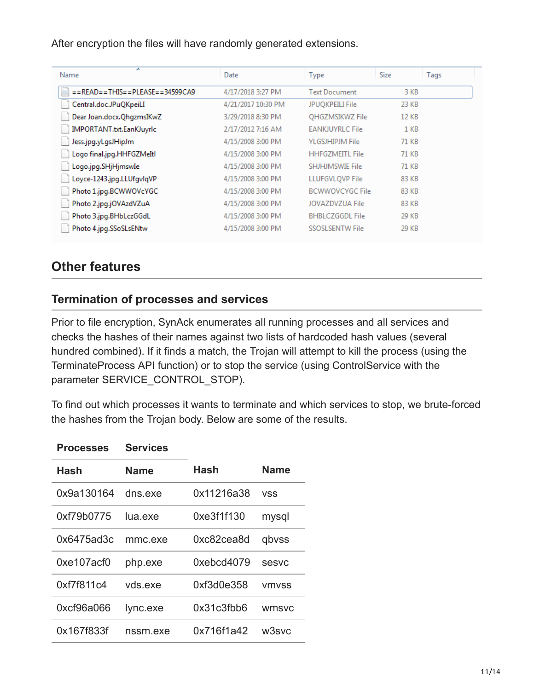After encryption the files will have randomly generated extensions.

| ∼<br>Name                                         | Date               | <b>Type</b>            | <b>Size</b> | Tags |
|---------------------------------------------------|--------------------|------------------------|-------------|------|
| $=$ = READ = $=$ THIS = $=$ PLEASE = $=$ 34599CA9 | 4/17/2018 3:27 PM  | <b>Text Document</b>   | 3 KB        |      |
| Central.doc.JPuQKpeiLI                            | 4/21/2017 10:30 PM | <b>JPUOKPEILI File</b> | 23 KB       |      |
| Dear Joan.docx.QhgzmsIKwZ                         | 3/29/2018 8:30 PM  | <b>OHGZMSIKWZ File</b> | 12 KB       |      |
| IMPORTANT.txt.EanKJuyrIc                          | 2/17/2012 7:16 AM  | <b>EANKJUYRLC File</b> | 1 KB        |      |
| Jess.jpg.yLgsJHipJm                               | 4/15/2008 3:00 PM  | <b>YLGSJHIPJM File</b> | 71 KB       |      |
| Logo final.jpg.HHFGZMeItl                         | 4/15/2008 3:00 PM  | <b>HHFGZMEITL File</b> | 71 KB       |      |
| Logo.jpg.SHjHjmswIe                               | 4/15/2008 3:00 PM  | SHJHJMSWIE File        | 71 KB       |      |
| Loyce-1243.jpg.LLUfgvlqVP                         | 4/15/2008 3:00 PM  | <b>LLUFGVLOVP File</b> | 83 KB       |      |
| Photo 1.jpg.BCWWOVcYGC                            | 4/15/2008 3:00 PM  | <b>BCWWOVCYGC File</b> | 83 KB       |      |
| Photo 2.jpg.jOVAzdVZuA                            | 4/15/2008 3:00 PM  | JOVAZDVZUA File        | 83 KB       |      |
| Photo 3.jpg.BHbLczGGdL                            | 4/15/2008 3:00 PM  | <b>BHBLCZGGDL File</b> | 29 KB       |      |
| Photo 4.jpg.SSoSLsENtw                            | 4/15/2008 3:00 PM  | SSOSLSENTW File        | 29 KB       |      |

## **Other features**

#### **Termination of processes and services**

Prior to file encryption, SynAck enumerates all running processes and all services and checks the hashes of their names against two lists of hardcoded hash values (several hundred combined). If it finds a match, the Trojan will attempt to kill the process (using the TerminateProcess API function) or to stop the service (using ControlService with the parameter SERVICE\_CONTROL\_STOP).

To find out which processes it wants to terminate and which services to stop, we brute-forced the hashes from the Trojan body. Below are some of the results.

| <b>Processes</b> | <b>Services</b> |            |              |
|------------------|-----------------|------------|--------------|
| Hash             | Name            | Hash       | Name         |
| 0x9a130164       | dns exe         | 0x11216a38 | <b>VSS</b>   |
| 0xf79b0775       | lua exe         | 0xe3f1f130 | mysql        |
| 0x6475ad3c       | mmc.exe         | 0xc82cea8d | qbvss        |
| 0xe107acf0       | php.exe         | 0xebcd4079 | sesvc        |
| 0xf7f811c4       | vds.exe         | 0xf3d0e358 | <b>VMVSS</b> |
| 0xcf96a066       | lync.exe        | 0x31c3fbb6 | wmsvc        |
| 0x167f833f       | nssm.exe        | 0x716f1a42 | w3svc        |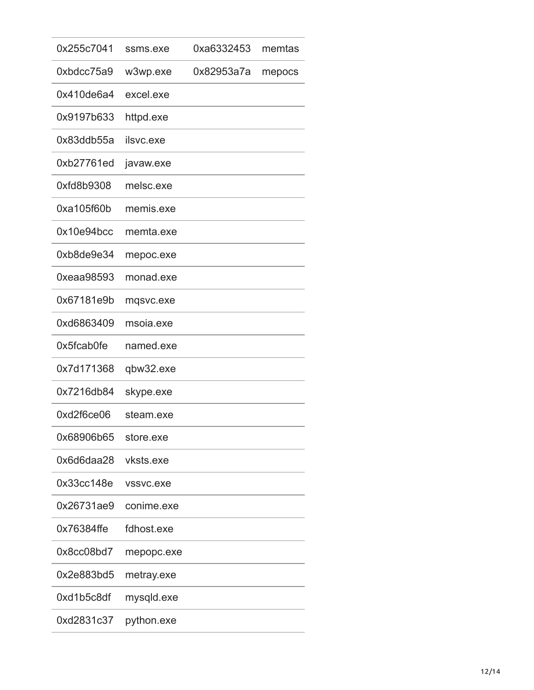| 0x255c7041 | ssms.exe   | 0xa6332453 | memtas |
|------------|------------|------------|--------|
| 0xbdcc75a9 | w3wp.exe   | 0x82953a7a | mepocs |
| 0x410de6a4 | excel.exe  |            |        |
| 0x9197b633 | httpd.exe  |            |        |
| 0x83ddb55a | ilsvc.exe  |            |        |
| 0xb27761ed | javaw.exe  |            |        |
| 0xfd8b9308 | melsc.exe  |            |        |
| 0xa105f60b | memis.exe  |            |        |
| 0x10e94bcc | memta.exe  |            |        |
| 0xb8de9e34 | mepoc.exe  |            |        |
| 0xeaa98593 | monad.exe  |            |        |
| 0x67181e9b | mqsvc.exe  |            |        |
| 0xd6863409 | msoia.exe  |            |        |
| 0x5fcab0fe | named.exe  |            |        |
| 0x7d171368 | qbw32.exe  |            |        |
| 0x7216db84 | skype.exe  |            |        |
| 0xd2f6ce06 | steam.exe  |            |        |
| 0x68906b65 | store.exe  |            |        |
| 0x6d6daa28 | vksts.exe  |            |        |
| 0x33cc148e | vssvc.exe  |            |        |
| 0x26731ae9 | conime.exe |            |        |
| 0x76384ffe | fdhost.exe |            |        |
| 0x8cc08bd7 | mepopc.exe |            |        |
| 0x2e883bd5 | metray.exe |            |        |
| 0xd1b5c8df | mysqld.exe |            |        |
| 0xd2831c37 | python.exe |            |        |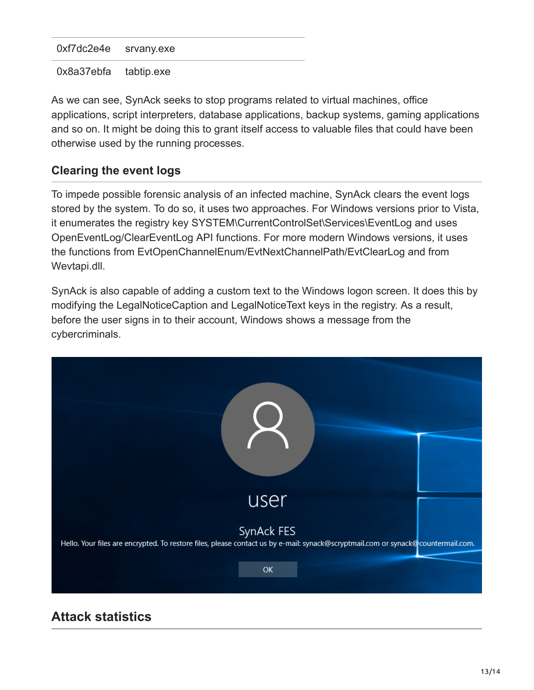0xf7dc2e4e srvany.exe

0x8a37ebfa tabtip.exe

As we can see, SynAck seeks to stop programs related to virtual machines, office applications, script interpreters, database applications, backup systems, gaming applications and so on. It might be doing this to grant itself access to valuable files that could have been otherwise used by the running processes.

#### **Clearing the event logs**

To impede possible forensic analysis of an infected machine, SynAck clears the event logs stored by the system. To do so, it uses two approaches. For Windows versions prior to Vista, it enumerates the registry key SYSTEM\CurrentControlSet\Services\EventLog and uses OpenEventLog/ClearEventLog API functions. For more modern Windows versions, it uses the functions from EvtOpenChannelEnum/EvtNextChannelPath/EvtClearLog and from Wevtapi.dll.

SynAck is also capable of adding a custom text to the Windows logon screen. It does this by modifying the LegalNoticeCaption and LegalNoticeText keys in the registry. As a result, before the user signs in to their account, Windows shows a message from the cybercriminals.



## **Attack statistics**